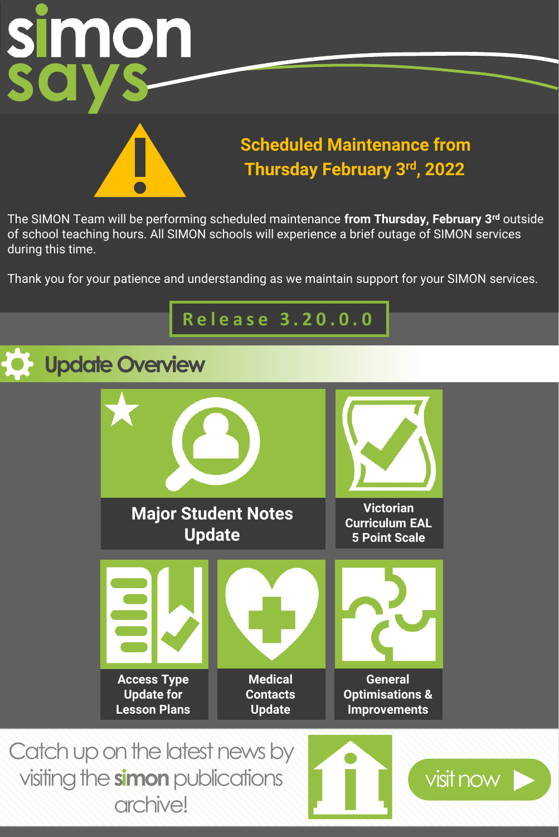

### **Scheduled Maintenance from Thursday February 3rd, 2022**

The SIMON Team will be performing scheduled maintenance **from Thursday, February 3rd** outside of school teaching hours. All SIMON schools will experience a brief outage of SIMON services during this time.

Thank you for your patience and understanding as we maintain support for your SIMON services.

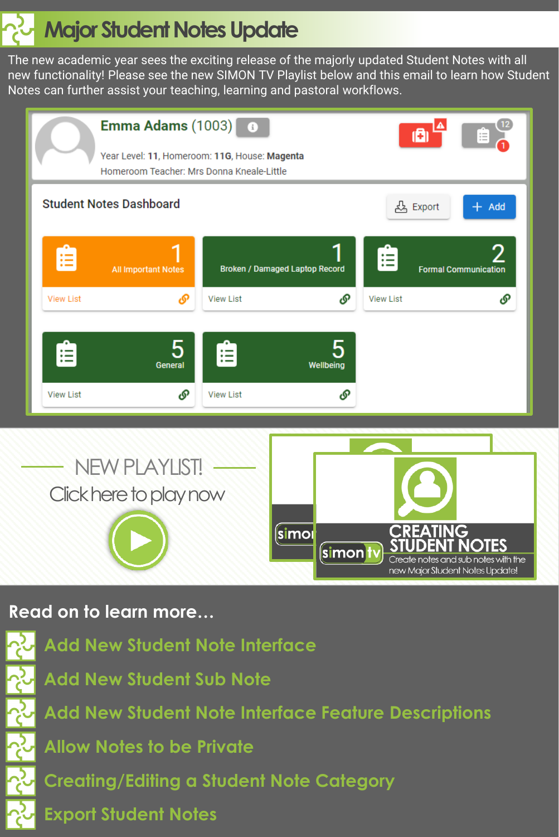# **Major Student Notes Update**

The new academic year sees the exciting release of the majorly updated Student Notes with all new functionality! Please see the new SIMON TV Playlist below and this email to learn how Student Notes can further assist your teaching, learning and pastoral workflows.





#### **Read on to learn more…**

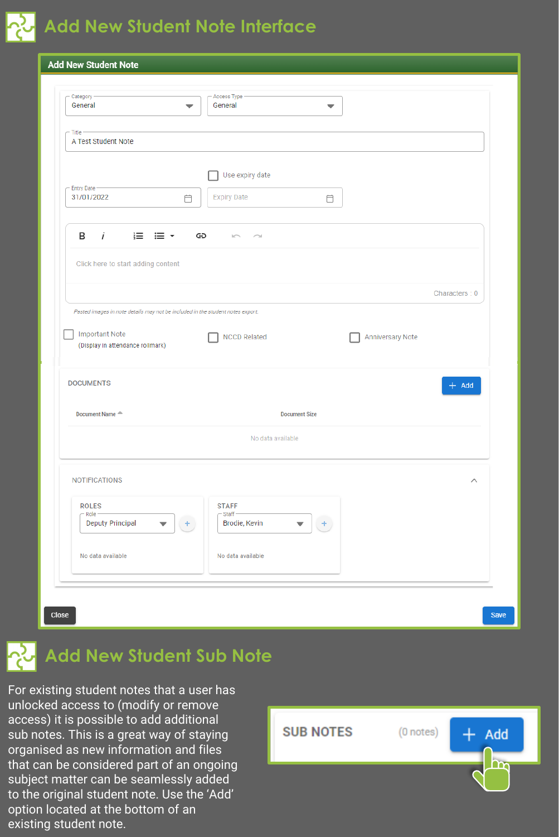# **Add New Student Note Interface**

| Category<br>General                                                            | Access Type<br>General<br>$\overline{\phantom{0}}$ | $\blacktriangledown$    |               |
|--------------------------------------------------------------------------------|----------------------------------------------------|-------------------------|---------------|
|                                                                                |                                                    |                         |               |
| Title<br>A Test Student Note                                                   |                                                    |                         |               |
|                                                                                |                                                    |                         |               |
|                                                                                | Use expiry date                                    |                         |               |
| Entry Date -                                                                   |                                                    |                         |               |
| 31/01/2022                                                                     | <b>Expiry Date</b><br>Ö                            | Ö                       |               |
|                                                                                |                                                    |                         |               |
| в<br>$\mathbf{i}$<br>⊫ ≡・                                                      | ⊝<br>$\sim$<br>$\sim$                              |                         |               |
|                                                                                |                                                    |                         |               |
| Click here to start adding content                                             |                                                    |                         |               |
|                                                                                |                                                    |                         | Characters: 0 |
|                                                                                |                                                    |                         |               |
|                                                                                |                                                    |                         |               |
| Pasted images in note details may not be included in the student notes export. |                                                    |                         |               |
|                                                                                |                                                    |                         |               |
| <b>Important Note</b><br>(Display in attendance rollmark)                      | <b>NCCD Related</b>                                | <b>Anniversary Note</b> |               |
|                                                                                |                                                    |                         |               |
|                                                                                |                                                    |                         |               |
| <b>DOCUMENTS</b>                                                               |                                                    |                         | $+$ Add       |
| Document Name <sup><math>\triangle</math></sup>                                |                                                    | <b>Document Size</b>    |               |
|                                                                                |                                                    |                         |               |
|                                                                                | No data available                                  |                         |               |
|                                                                                |                                                    |                         |               |
| <b>NOTIFICATIONS</b>                                                           |                                                    |                         | $\wedge$      |
|                                                                                |                                                    |                         |               |
| <b>ROLES</b>                                                                   | <b>STAFF</b>                                       |                         |               |
| Role<br><b>Deputy Principal</b><br>▼                                           | Staff-<br>Brodie, Kevin<br>÷                       | ÷<br>▼                  |               |
|                                                                                |                                                    |                         |               |
| No data available                                                              | No data available                                  |                         |               |

## **Add New Student Sub Note**

For existing student notes that a user has unlocked access to (modify or remove access) it is possible to add additional sub notes. This is a great way of staying organised as new information and files that can be considered part of an ongoing subject matter can be seamlessly added to the original student note. Use the 'Add' option located at the bottom of an existing student note.

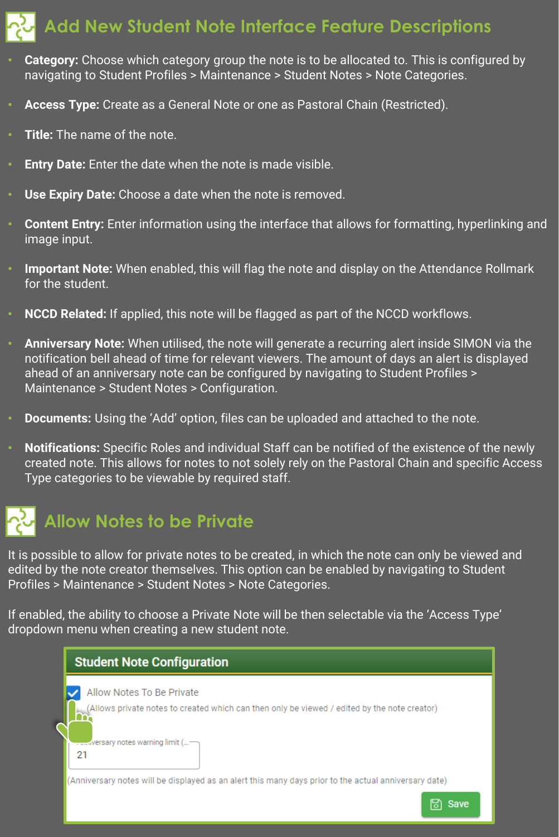### **Add New Student Note Interface Feature Descriptions**

- **Category:** Choose which category group the note is to be allocated to. This is configured by navigating to Student Profiles > Maintenance > Student Notes > Note Categories.
- **Access Type:** Create as a General Note or one as Pastoral Chain (Restricted).
- **Title:** The name of the note.
- **Entry Date:** Enter the date when the note is made visible.
- **Use Expiry Date:** Choose a date when the note is removed.
- **Content Entry:** Enter information using the interface that allows for formatting, hyperlinking and image input.
- **Important Note:** When enabled, this will flag the note and display on the Attendance Rollmark for the student.
- **NCCD Related:** If applied, this note will be flagged as part of the NCCD workflows.
- **Anniversary Note:** When utilised, the note will generate a recurring alert inside SIMON via the notification bell ahead of time for relevant viewers. The amount of days an alert is displayed ahead of an anniversary note can be configured by navigating to Student Profiles > Maintenance > Student Notes > Configuration.
- **Documents:** Using the 'Add' option, files can be uploaded and attached to the note.
- **Notifications:** Specific Roles and individual Staff can be notified of the existence of the newly created note. This allows for notes to not solely rely on the Pastoral Chain and specific Access Type categories to be viewable by required staff.



It is possible to allow for private notes to be created, in which the note can only be viewed and edited by the note creator themselves. This option can be enabled by navigating to Student Profiles > Maintenance > Student Notes > Note Categories.

If enabled, the ability to choose a Private Note will be then selectable via the 'Access Type' dropdown menu when creating a new student note.

| <b>Student Note Configuration</b>                                                                                         |
|---------------------------------------------------------------------------------------------------------------------------|
| Allow Notes To Be Private<br>(Allows private notes to created which can then only be viewed / edited by the note creator) |
| 21                                                                                                                        |
| (Anniversary notes will be displayed as an alert this many days prior to the actual anniversary date)                     |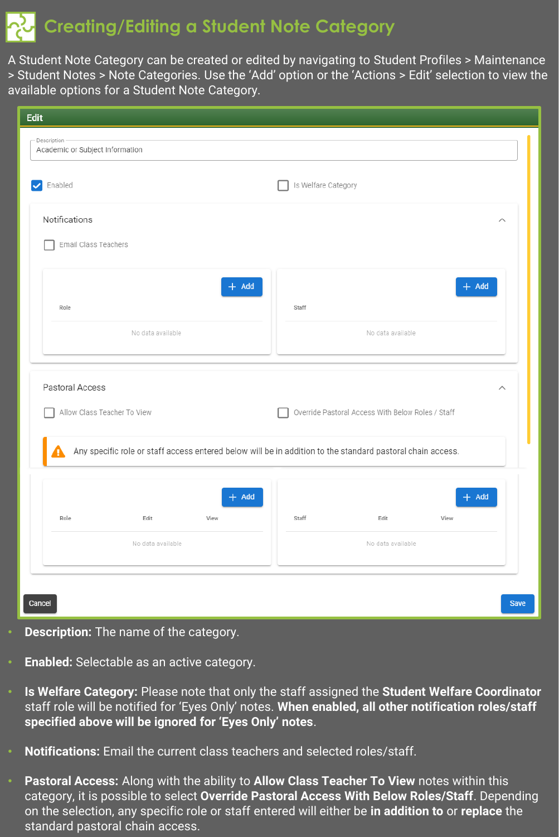### **Creating/Editing a Student Note Category**

A Student Note Category can be created or edited by navigating to Student Profiles > Maintenance > Student Notes > Note Categories. Use the 'Add' option or the 'Actions > Edit' selection to view the available options for a Student Note Category.

|                      | Academic or Subject Information |                 |                                                                                                            |                                                   |                 |
|----------------------|---------------------------------|-----------------|------------------------------------------------------------------------------------------------------------|---------------------------------------------------|-----------------|
| Enabled              |                                 |                 | Is Welfare Category                                                                                        |                                                   |                 |
| Notifications        |                                 |                 |                                                                                                            |                                                   | $\wedge$        |
| Email Class Teachers |                                 |                 |                                                                                                            |                                                   |                 |
|                      |                                 | $+$ Add         |                                                                                                            |                                                   | $+$ Add         |
| Role                 |                                 |                 | Staff                                                                                                      |                                                   |                 |
|                      | No data available               |                 |                                                                                                            | No data available                                 |                 |
|                      |                                 |                 |                                                                                                            |                                                   |                 |
| Pastoral Access      | Allow Class Teacher To View     |                 | Any specific role or staff access entered below will be in addition to the standard pastoral chain access. | Override Pastoral Access With Below Roles / Staff | $\wedge$        |
|                      |                                 |                 |                                                                                                            |                                                   |                 |
| Role                 | Edit                            | $+$ Add<br>View | Staff                                                                                                      | Edit                                              | $+$ Add<br>View |

- **Description:** The name of the category.
- **Enabled:** Selectable as an active category.
- **Is Welfare Category:** Please note that only the staff assigned the **Student Welfare Coordinator** staff role will be notified for 'Eyes Only' notes. **When enabled, all other notification roles/staff specified above will be ignored for 'Eyes Only' notes**.
- **Notifications:** Email the current class teachers and selected roles/staff.
- **Pastoral Access:** Along with the ability to **Allow Class Teacher To View** notes within this category, it is possible to select **Override Pastoral Access With Below Roles/Staff**. Depending on the selection, any specific role or staff entered will either be **in addition to** or **replace** the standard pastoral chain access.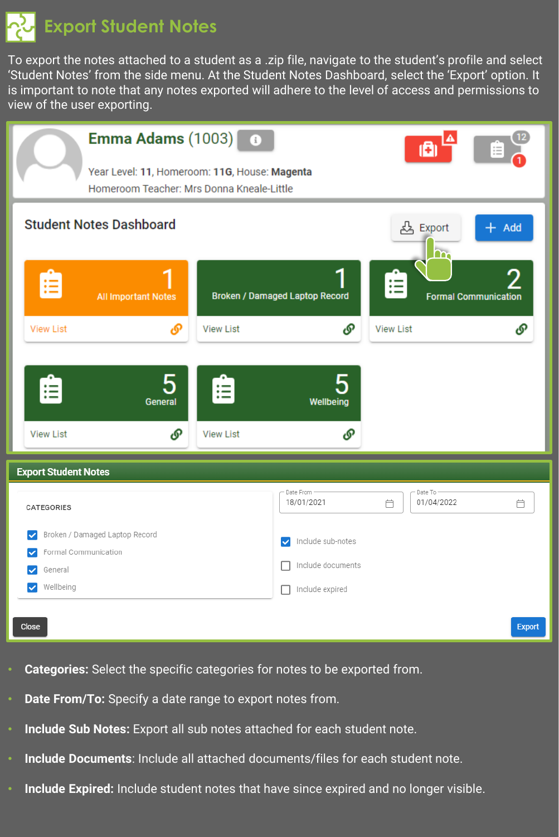**Export Student Notes**

To export the notes attached to a student as a .zip file, navigate to the student's profile and select 'Student Notes' from the side menu. At the Student Notes Dashboard, select the 'Export' option. It is important to note that any notes exported will adhere to the level of access and permissions to view of the user exporting.

| Emma Adams $(1003)$ $\bullet$<br>Year Level: 11, Homeroom: 11G, House: Magenta<br>Homeroom Teacher: Mrs Donna Kneale-Little               |                                           |                                                                                  | ı8                                                  |                                                  |
|-------------------------------------------------------------------------------------------------------------------------------------------|-------------------------------------------|----------------------------------------------------------------------------------|-----------------------------------------------------|--------------------------------------------------|
| <b>Student Notes Dashboard</b><br>Ê<br><b>All Important Notes</b><br><b>View List</b><br>டு<br>5<br>Ê<br>General<br>௴<br><b>View List</b> | <b>View List</b><br>油<br><b>View List</b> | Broken / Damaged Laptop Record<br>O<br>5<br>Wellbeing<br>௴                       | <u>&amp;</u> Export<br>In.<br>Ê<br><b>View List</b> | $+$ Add<br>2<br><b>Formal Communication</b><br>ଙ |
| <b>Export Student Notes</b>                                                                                                               |                                           |                                                                                  |                                                     |                                                  |
| CATEGORIES                                                                                                                                |                                           | Date From -<br>18/01/2021                                                        | Date To -<br>01/04/2022<br>自                        | 白                                                |
| Broken / Damaged Laptop Record<br>◡<br>Formal Communication<br>✓<br>General<br>✓<br>Wellbeing<br>$\checkmark$                             |                                           | Include sub-notes<br>◡<br>Include documents<br>Include expired<br><b>Talling</b> |                                                     |                                                  |
| Close                                                                                                                                     |                                           |                                                                                  |                                                     | <b>Export</b>                                    |

- **Categories:** Select the specific categories for notes to be exported from.
- **Date From/To:** Specify a date range to export notes from.
- **Include Sub Notes:** Export all sub notes attached for each student note.
- **Include Documents**: Include all attached documents/files for each student note.
- **Include Expired:** Include student notes that have since expired and no longer visible.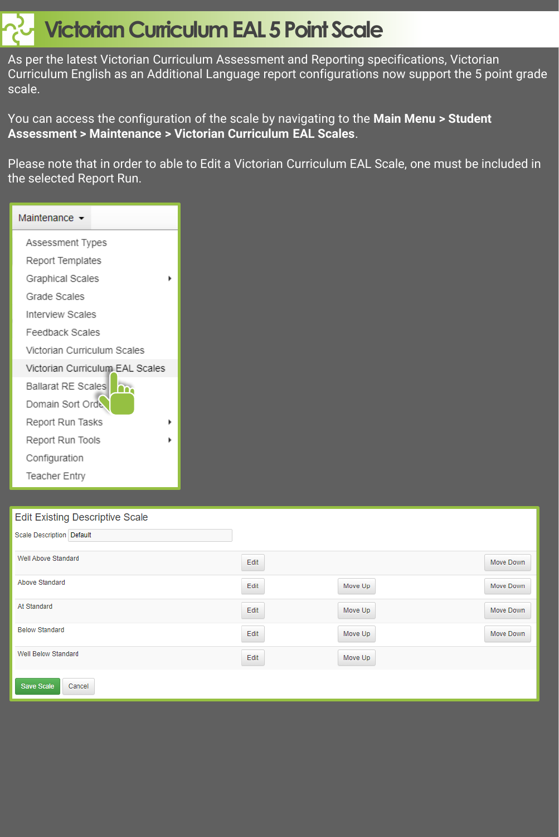# **Victorian Curriculum EAL 5 Point Scale**

As per the latest Victorian Curriculum Assessment and Reporting specifications, Victorian Curriculum English as an Additional Language report configurations now support the 5 point grade scale.

You can access the configuration of the scale by navigating to the **Main Menu > Student Assessment > Maintenance > Victorian Curriculum EAL Scales**.

Please note that in order to able to Edit a Victorian Curriculum EAL Scale, one must be included in the selected Report Run.

| Maintenance -                   |
|---------------------------------|
| Assessment Types                |
| Report Templates                |
| Graphical Scales                |
| Grade Scales                    |
| Interview Scales                |
| Feedback Scales                 |
| Victorian Curriculum Scales     |
| Victorian Curriculum EAL Scales |
| <b>Ballarat RE Scales</b>       |
| Domain Sort Orde                |
| Report Run Tasks                |
| Report Run Tools                |
| Configuration                   |
| <b>Teacher Entry</b>            |

#### Edit Evicting Descriptive Scole

| EQILE AISING DESCRIPTIVE SUBJE   |      |         |           |
|----------------------------------|------|---------|-----------|
| <b>Scale Description Default</b> |      |         |           |
| Well Above Standard              | Edit |         | Move Down |
| Above Standard                   | Edit | Move Up | Move Down |
| At Standard                      | Edit | Move Up | Move Down |
| <b>Below Standard</b>            | Edit | Move Up | Move Down |
| <b>Well Below Standard</b>       | Edit | Move Up |           |
| <b>Save Scale</b><br>Cancel      |      |         |           |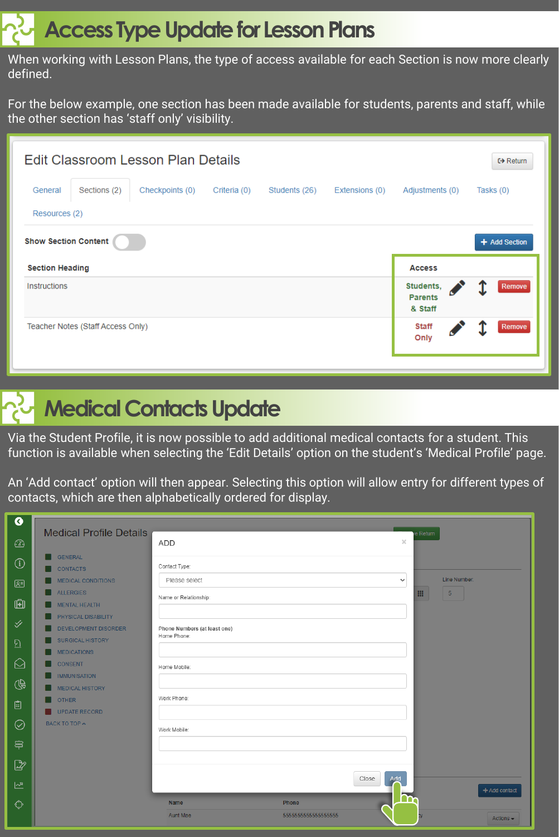### **Access Type Update for Lesson Plans**

When working with Lesson Plans, the type of access available for each Section is now more clearly defined.

For the below example, one section has been made available for students, parents and staff, while the other section has 'staff only' visibility.

|                             |                                   | Edit Classroom Lesson Plan Details |              |               |                |                                        | $\leftrightarrow$ Return |
|-----------------------------|-----------------------------------|------------------------------------|--------------|---------------|----------------|----------------------------------------|--------------------------|
| General                     | Sections (2)                      | Checkpoints (0)                    | Criteria (0) | Students (26) | Extensions (0) | Adjustments (0)                        | Tasks (0)                |
| Resources (2)               |                                   |                                    |              |               |                |                                        |                          |
| <b>Show Section Content</b> |                                   |                                    |              |               |                |                                        | + Add Section            |
| <b>Section Heading</b>      |                                   |                                    |              |               |                | <b>Access</b>                          |                          |
| <b>Instructions</b>         |                                   |                                    |              |               |                | Students,<br><b>Parents</b><br>& Staff | Remove                   |
|                             | Teacher Notes (Staff Access Only) |                                    |              |               |                | <b>Staff</b><br>Only                   | Remove                   |
|                             |                                   |                                    |              |               |                |                                        |                          |



Via the Student Profile, it is now possible to add additional medical contacts for a student. This function is available when selecting the 'Edit Details' option on the student's 'Medical Profile' page.

An 'Add contact' option will then appear. Selecting this option will allow entry for different types of contacts, which are then alphabetically ordered for display.

| ◑                       | <b>Medical Profile Details</b>                         |                                             |                         | e Return     |                |
|-------------------------|--------------------------------------------------------|---------------------------------------------|-------------------------|--------------|----------------|
| $\circled{c}$           |                                                        | <b>ADD</b>                                  |                         | $\times$     |                |
| $\bigcirc$              | <b>GENERAL</b><br><b>CONTACTS</b>                      | Contact Type:                               |                         |              |                |
| 圓                       | <b>MEDICAL CONDITIONS</b>                              | Please select                               |                         | $\checkmark$ | Line Number:   |
| ū                       | <b>ALLERGIES</b><br><b>MENTAL HEALTH</b>               | Name or Relationship:                       |                         |              | $-5$           |
| $\checkmark$            | PHYSICAL DISABILITY                                    |                                             |                         |              |                |
|                         | <b>DEVELOPMENT DISORDER</b><br><b>SURGICAL HISTORY</b> | Phone Numbers (at least one)<br>Home Phone: |                         |              |                |
| $\overline{\mathbb{Z}}$ | <b>MEDICATIONS</b>                                     |                                             |                         |              |                |
| ♤                       | <b>CONSENT</b><br><b>IMMUNISATION</b>                  | Home Mobile:                                |                         |              |                |
| $\mathbb{Q}$            | <b>MEDICAL HISTORY</b>                                 | Work Phone:                                 |                         |              |                |
| 自                       | <b>OTHER</b><br><b>UPDATE RECORD</b>                   |                                             |                         |              |                |
| $\oslash$               | BACK TO TOP ^                                          | Work Mobile:                                |                         |              |                |
| 亭                       |                                                        |                                             |                         |              |                |
| $\mathbb{Z}$            |                                                        |                                             |                         |              |                |
| 쓰                       |                                                        |                                             | Close                   | Add          | + Add contact  |
| ♦                       |                                                        | Name                                        | Phone                   |              |                |
|                         |                                                        | Aunt Mae                                    | 55555555555555555555555 |              | Actions $\sim$ |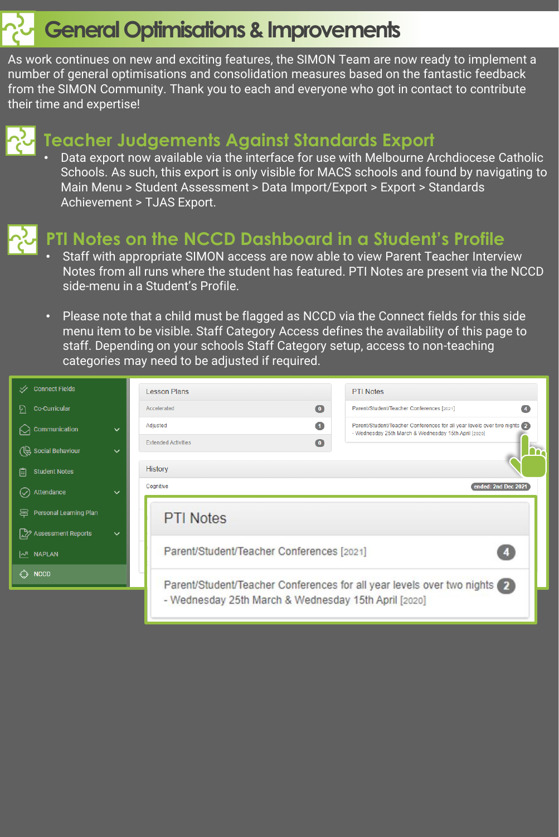## **General Optimisations & Improvements**

As work continues on new and exciting features, the SIMON Team are now ready to implement a number of general optimisations and consolidation measures based on the fantastic feedback from the SIMON Community. Thank you to each and everyone who got in contact to contribute their time and expertise!



#### **Teacher Judgements Against Standards Export**

• Data export now available via the interface for use with Melbourne Archdiocese Catholic Schools. As such, this export is only visible for MACS schools and found by navigating to Main Menu > Student Assessment > Data Import/Export > Export > Standards Achievement > TJAS Export.



#### **PTI Notes on the NCCD Dashboard in a Student's Profile**

- Staff with appropriate SIMON access are now able to view Parent Teacher Interview Notes from all runs where the student has featured. PTI Notes are present via the NCCD side-menu in a Student's Profile.
- Please note that a child must be flagged as NCCD via the Connect fields for this side menu item to be visible. Staff Category Access defines the availability of this page to staff. Depending on your schools Staff Category setup, access to non-teaching categories may need to be adjusted if required.

| <b>√</b> Connect Fields                   | <b>Lesson Plans</b><br><b>PTI Notes</b>                                                                                                                 |
|-------------------------------------------|---------------------------------------------------------------------------------------------------------------------------------------------------------|
| <b>Co-Curricular</b><br>P)                | $\bullet$<br>Parent/Student/Teacher Conferences [2021]<br>Accelerated<br>$\bullet$                                                                      |
| Communication<br>$\checkmark$             | $\bullet$<br>Parent/Student/Teacher Conferences for all year levels over two nights<br>Adiusted<br>- Wednesday 25th March & Wednesday 15th April [2020] |
| CC Social Behaviour<br>$\checkmark$       | $\bullet$<br><b>Extended Activities</b>                                                                                                                 |
| <b>Student Notes</b><br>眉                 | <b>History</b>                                                                                                                                          |
| $(\checkmark)$ Attendance<br>$\checkmark$ | ended: 2nd Dec 2021<br>Cognitive                                                                                                                        |
| Personal Learning Plan                    | <b>PTI Notes</b>                                                                                                                                        |
| Assessment Reports<br>$\checkmark$        |                                                                                                                                                         |
| <b>I<sub>AR</sub></b> NAPLAN              | Parent/Student/Teacher Conferences [2021]                                                                                                               |
| <b>NCCD</b><br>⊙                          | Parent/Student/Teacher Conferences for all year levels over two nights (2)                                                                              |
|                                           | - Wednesday 25th March & Wednesday 15th April [2020]                                                                                                    |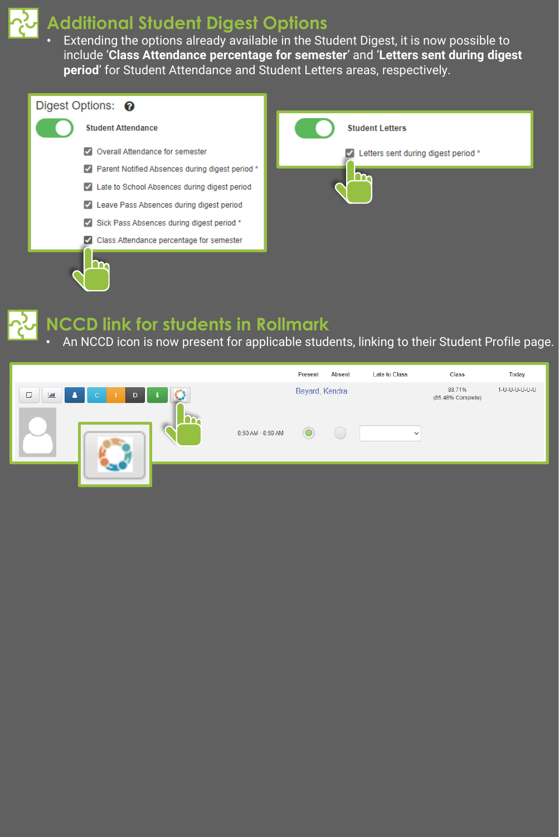

### **Additional Student Digest Options**

• Extending the options already available in the Student Digest, it is now possible to include '**Class Attendance percentage for semester**' and '**Letters sent during digest period**' for Student Attendance and Student Letters areas, respectively.





#### **NCCD link for students in Rollmark**

• An NCCD icon is now present for applicable students, linking to their Student Profile page.